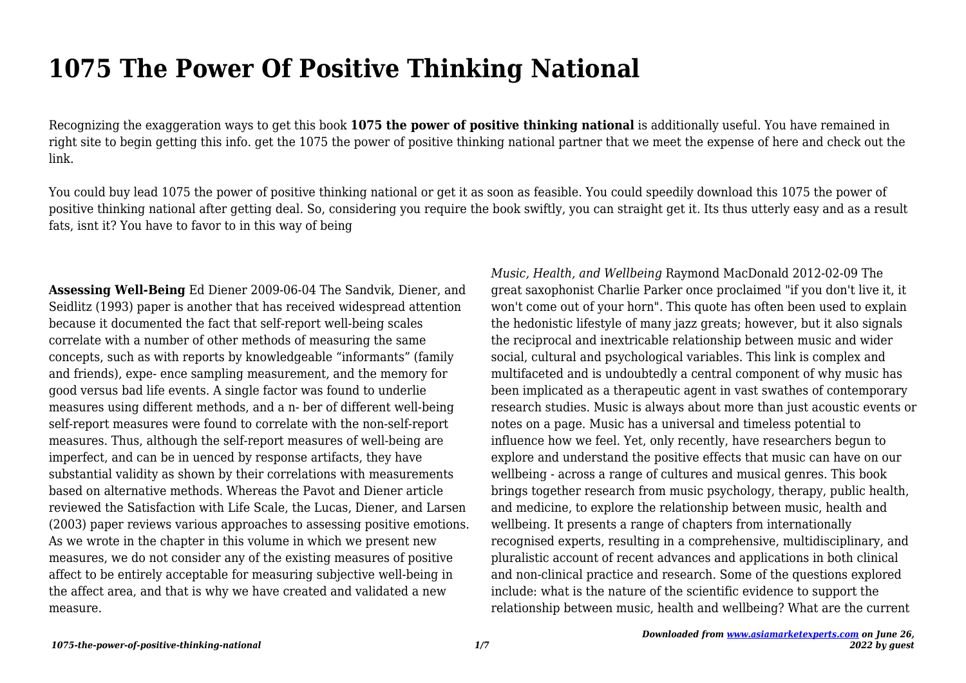# **1075 The Power Of Positive Thinking National**

Recognizing the exaggeration ways to get this book **1075 the power of positive thinking national** is additionally useful. You have remained in right site to begin getting this info. get the 1075 the power of positive thinking national partner that we meet the expense of here and check out the link.

You could buy lead 1075 the power of positive thinking national or get it as soon as feasible. You could speedily download this 1075 the power of positive thinking national after getting deal. So, considering you require the book swiftly, you can straight get it. Its thus utterly easy and as a result fats, isnt it? You have to favor to in this way of being

**Assessing Well-Being** Ed Diener 2009-06-04 The Sandvik, Diener, and Seidlitz (1993) paper is another that has received widespread attention because it documented the fact that self-report well-being scales correlate with a number of other methods of measuring the same concepts, such as with reports by knowledgeable "informants" (family and friends), expe- ence sampling measurement, and the memory for good versus bad life events. A single factor was found to underlie measures using different methods, and a n- ber of different well-being self-report measures were found to correlate with the non-self-report measures. Thus, although the self-report measures of well-being are imperfect, and can be in uenced by response artifacts, they have substantial validity as shown by their correlations with measurements based on alternative methods. Whereas the Pavot and Diener article reviewed the Satisfaction with Life Scale, the Lucas, Diener, and Larsen (2003) paper reviews various approaches to assessing positive emotions. As we wrote in the chapter in this volume in which we present new measures, we do not consider any of the existing measures of positive affect to be entirely acceptable for measuring subjective well-being in the affect area, and that is why we have created and validated a new measure.

*Music, Health, and Wellbeing* Raymond MacDonald 2012-02-09 The great saxophonist Charlie Parker once proclaimed "if you don't live it, it won't come out of your horn". This quote has often been used to explain the hedonistic lifestyle of many jazz greats; however, but it also signals the reciprocal and inextricable relationship between music and wider social, cultural and psychological variables. This link is complex and multifaceted and is undoubtedly a central component of why music has been implicated as a therapeutic agent in vast swathes of contemporary research studies. Music is always about more than just acoustic events or notes on a page. Music has a universal and timeless potential to influence how we feel. Yet, only recently, have researchers begun to explore and understand the positive effects that music can have on our wellbeing - across a range of cultures and musical genres. This book brings together research from music psychology, therapy, public health, and medicine, to explore the relationship between music, health and wellbeing. It presents a range of chapters from internationally recognised experts, resulting in a comprehensive, multidisciplinary, and pluralistic account of recent advances and applications in both clinical and non-clinical practice and research. Some of the questions explored include: what is the nature of the scientific evidence to support the relationship between music, health and wellbeing? What are the current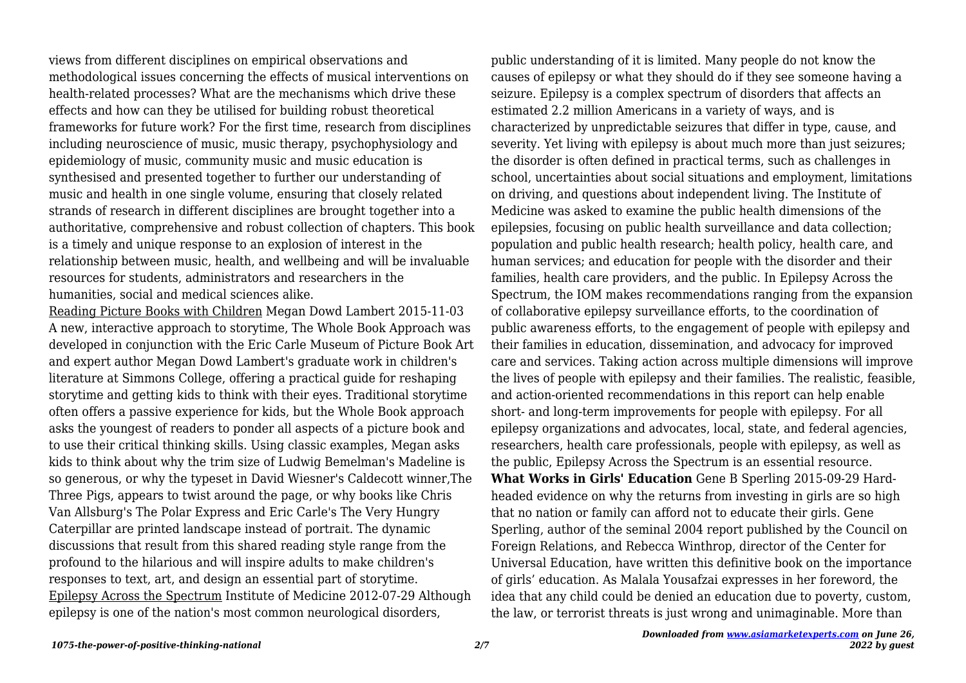views from different disciplines on empirical observations and methodological issues concerning the effects of musical interventions on health-related processes? What are the mechanisms which drive these effects and how can they be utilised for building robust theoretical frameworks for future work? For the first time, research from disciplines including neuroscience of music, music therapy, psychophysiology and epidemiology of music, community music and music education is synthesised and presented together to further our understanding of music and health in one single volume, ensuring that closely related strands of research in different disciplines are brought together into a authoritative, comprehensive and robust collection of chapters. This book is a timely and unique response to an explosion of interest in the relationship between music, health, and wellbeing and will be invaluable resources for students, administrators and researchers in the humanities, social and medical sciences alike.

Reading Picture Books with Children Megan Dowd Lambert 2015-11-03 A new, interactive approach to storytime, The Whole Book Approach was developed in conjunction with the Eric Carle Museum of Picture Book Art and expert author Megan Dowd Lambert's graduate work in children's literature at Simmons College, offering a practical guide for reshaping storytime and getting kids to think with their eyes. Traditional storytime often offers a passive experience for kids, but the Whole Book approach asks the youngest of readers to ponder all aspects of a picture book and to use their critical thinking skills. Using classic examples, Megan asks kids to think about why the trim size of Ludwig Bemelman's Madeline is so generous, or why the typeset in David Wiesner's Caldecott winner,The Three Pigs, appears to twist around the page, or why books like Chris Van Allsburg's The Polar Express and Eric Carle's The Very Hungry Caterpillar are printed landscape instead of portrait. The dynamic discussions that result from this shared reading style range from the profound to the hilarious and will inspire adults to make children's responses to text, art, and design an essential part of storytime. Epilepsy Across the Spectrum Institute of Medicine 2012-07-29 Although epilepsy is one of the nation's most common neurological disorders,

public understanding of it is limited. Many people do not know the causes of epilepsy or what they should do if they see someone having a seizure. Epilepsy is a complex spectrum of disorders that affects an estimated 2.2 million Americans in a variety of ways, and is characterized by unpredictable seizures that differ in type, cause, and severity. Yet living with epilepsy is about much more than just seizures; the disorder is often defined in practical terms, such as challenges in school, uncertainties about social situations and employment, limitations on driving, and questions about independent living. The Institute of Medicine was asked to examine the public health dimensions of the epilepsies, focusing on public health surveillance and data collection; population and public health research; health policy, health care, and human services; and education for people with the disorder and their families, health care providers, and the public. In Epilepsy Across the Spectrum, the IOM makes recommendations ranging from the expansion of collaborative epilepsy surveillance efforts, to the coordination of public awareness efforts, to the engagement of people with epilepsy and their families in education, dissemination, and advocacy for improved care and services. Taking action across multiple dimensions will improve the lives of people with epilepsy and their families. The realistic, feasible, and action-oriented recommendations in this report can help enable short- and long-term improvements for people with epilepsy. For all epilepsy organizations and advocates, local, state, and federal agencies, researchers, health care professionals, people with epilepsy, as well as the public, Epilepsy Across the Spectrum is an essential resource. **What Works in Girls' Education** Gene B Sperling 2015-09-29 Hardheaded evidence on why the returns from investing in girls are so high that no nation or family can afford not to educate their girls. Gene Sperling, author of the seminal 2004 report published by the Council on Foreign Relations, and Rebecca Winthrop, director of the Center for Universal Education, have written this definitive book on the importance of girls' education. As Malala Yousafzai expresses in her foreword, the idea that any child could be denied an education due to poverty, custom, the law, or terrorist threats is just wrong and unimaginable. More than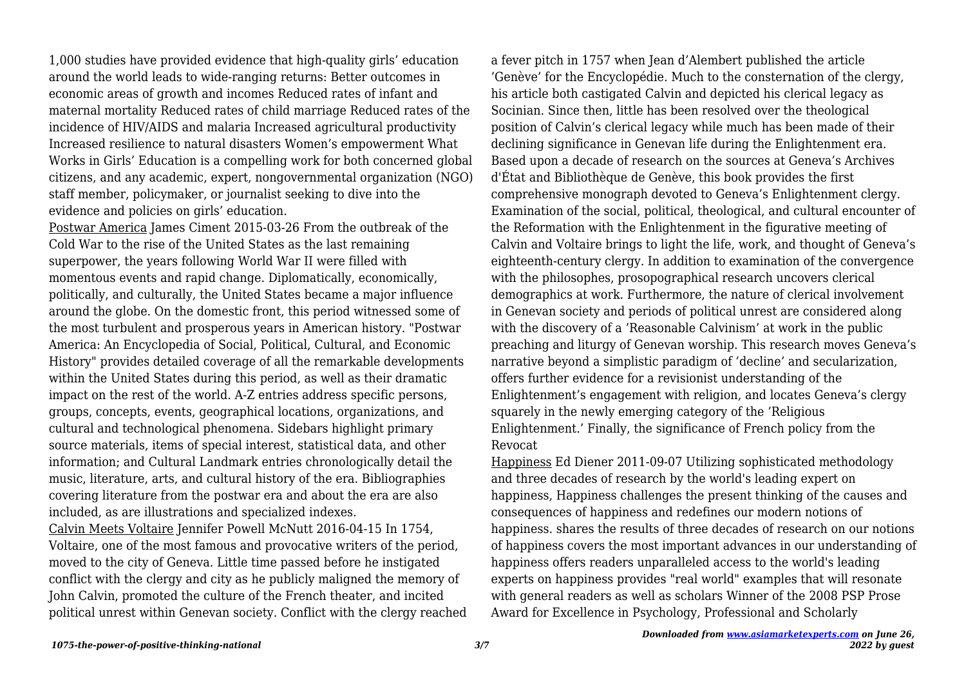1,000 studies have provided evidence that high-quality girls' education around the world leads to wide-ranging returns: Better outcomes in economic areas of growth and incomes Reduced rates of infant and maternal mortality Reduced rates of child marriage Reduced rates of the incidence of HIV/AIDS and malaria Increased agricultural productivity Increased resilience to natural disasters Women's empowerment What Works in Girls' Education is a compelling work for both concerned global citizens, and any academic, expert, nongovernmental organization (NGO) staff member, policymaker, or journalist seeking to dive into the evidence and policies on girls' education.

Postwar America James Ciment 2015-03-26 From the outbreak of the Cold War to the rise of the United States as the last remaining superpower, the years following World War II were filled with momentous events and rapid change. Diplomatically, economically, politically, and culturally, the United States became a major influence around the globe. On the domestic front, this period witnessed some of the most turbulent and prosperous years in American history. "Postwar America: An Encyclopedia of Social, Political, Cultural, and Economic History" provides detailed coverage of all the remarkable developments within the United States during this period, as well as their dramatic impact on the rest of the world. A-Z entries address specific persons, groups, concepts, events, geographical locations, organizations, and cultural and technological phenomena. Sidebars highlight primary source materials, items of special interest, statistical data, and other information; and Cultural Landmark entries chronologically detail the music, literature, arts, and cultural history of the era. Bibliographies covering literature from the postwar era and about the era are also included, as are illustrations and specialized indexes.

Calvin Meets Voltaire Jennifer Powell McNutt 2016-04-15 In 1754, Voltaire, one of the most famous and provocative writers of the period, moved to the city of Geneva. Little time passed before he instigated conflict with the clergy and city as he publicly maligned the memory of John Calvin, promoted the culture of the French theater, and incited political unrest within Genevan society. Conflict with the clergy reached a fever pitch in 1757 when Jean d'Alembert published the article 'Genève' for the Encyclopédie. Much to the consternation of the clergy, his article both castigated Calvin and depicted his clerical legacy as Socinian. Since then, little has been resolved over the theological position of Calvin's clerical legacy while much has been made of their declining significance in Genevan life during the Enlightenment era. Based upon a decade of research on the sources at Geneva's Archives d'État and Bibliothèque de Genève, this book provides the first comprehensive monograph devoted to Geneva's Enlightenment clergy. Examination of the social, political, theological, and cultural encounter of the Reformation with the Enlightenment in the figurative meeting of Calvin and Voltaire brings to light the life, work, and thought of Geneva's eighteenth-century clergy. In addition to examination of the convergence with the philosophes, prosopographical research uncovers clerical demographics at work. Furthermore, the nature of clerical involvement in Genevan society and periods of political unrest are considered along with the discovery of a 'Reasonable Calvinism' at work in the public preaching and liturgy of Genevan worship. This research moves Geneva's narrative beyond a simplistic paradigm of 'decline' and secularization, offers further evidence for a revisionist understanding of the Enlightenment's engagement with religion, and locates Geneva's clergy squarely in the newly emerging category of the 'Religious Enlightenment.' Finally, the significance of French policy from the Revocat

Happiness Ed Diener 2011-09-07 Utilizing sophisticated methodology and three decades of research by the world's leading expert on happiness, Happiness challenges the present thinking of the causes and consequences of happiness and redefines our modern notions of happiness. shares the results of three decades of research on our notions of happiness covers the most important advances in our understanding of happiness offers readers unparalleled access to the world's leading experts on happiness provides "real world" examples that will resonate with general readers as well as scholars Winner of the 2008 PSP Prose Award for Excellence in Psychology, Professional and Scholarly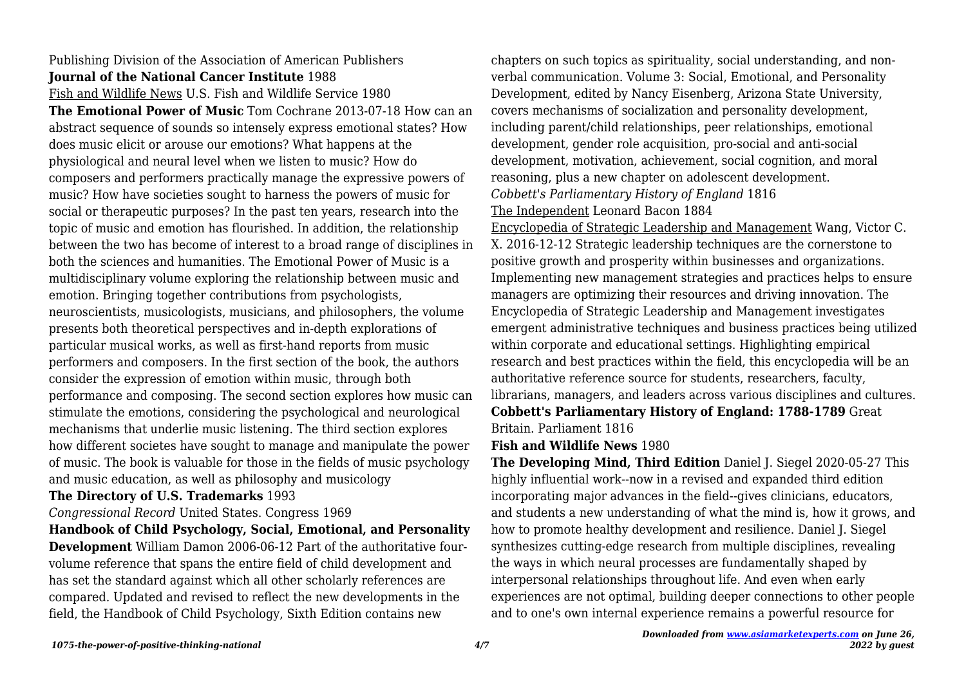# Publishing Division of the Association of American Publishers **Journal of the National Cancer Institute** 1988

Fish and Wildlife News U.S. Fish and Wildlife Service 1980 **The Emotional Power of Music** Tom Cochrane 2013-07-18 How can an abstract sequence of sounds so intensely express emotional states? How does music elicit or arouse our emotions? What happens at the physiological and neural level when we listen to music? How do composers and performers practically manage the expressive powers of music? How have societies sought to harness the powers of music for social or therapeutic purposes? In the past ten years, research into the topic of music and emotion has flourished. In addition, the relationship between the two has become of interest to a broad range of disciplines in both the sciences and humanities. The Emotional Power of Music is a multidisciplinary volume exploring the relationship between music and emotion. Bringing together contributions from psychologists, neuroscientists, musicologists, musicians, and philosophers, the volume presents both theoretical perspectives and in-depth explorations of particular musical works, as well as first-hand reports from music performers and composers. In the first section of the book, the authors consider the expression of emotion within music, through both performance and composing. The second section explores how music can stimulate the emotions, considering the psychological and neurological mechanisms that underlie music listening. The third section explores how different societes have sought to manage and manipulate the power of music. The book is valuable for those in the fields of music psychology and music education, as well as philosophy and musicology

#### **The Directory of U.S. Trademarks** 1993

*Congressional Record* United States. Congress 1969

**Handbook of Child Psychology, Social, Emotional, and Personality Development** William Damon 2006-06-12 Part of the authoritative fourvolume reference that spans the entire field of child development and has set the standard against which all other scholarly references are compared. Updated and revised to reflect the new developments in the field, the Handbook of Child Psychology, Sixth Edition contains new

chapters on such topics as spirituality, social understanding, and nonverbal communication. Volume 3: Social, Emotional, and Personality Development, edited by Nancy Eisenberg, Arizona State University, covers mechanisms of socialization and personality development, including parent/child relationships, peer relationships, emotional development, gender role acquisition, pro-social and anti-social development, motivation, achievement, social cognition, and moral reasoning, plus a new chapter on adolescent development. *Cobbett's Parliamentary History of England* 1816 The Independent Leonard Bacon 1884

Encyclopedia of Strategic Leadership and Management Wang, Victor C. X. 2016-12-12 Strategic leadership techniques are the cornerstone to positive growth and prosperity within businesses and organizations. Implementing new management strategies and practices helps to ensure managers are optimizing their resources and driving innovation. The Encyclopedia of Strategic Leadership and Management investigates emergent administrative techniques and business practices being utilized within corporate and educational settings. Highlighting empirical research and best practices within the field, this encyclopedia will be an authoritative reference source for students, researchers, faculty, librarians, managers, and leaders across various disciplines and cultures. **Cobbett's Parliamentary History of England: 1788-1789** Great Britain. Parliament 1816

# **Fish and Wildlife News** 1980

**The Developing Mind, Third Edition** Daniel J. Siegel 2020-05-27 This highly influential work--now in a revised and expanded third edition incorporating major advances in the field--gives clinicians, educators, and students a new understanding of what the mind is, how it grows, and how to promote healthy development and resilience. Daniel J. Siegel synthesizes cutting-edge research from multiple disciplines, revealing the ways in which neural processes are fundamentally shaped by interpersonal relationships throughout life. And even when early experiences are not optimal, building deeper connections to other people and to one's own internal experience remains a powerful resource for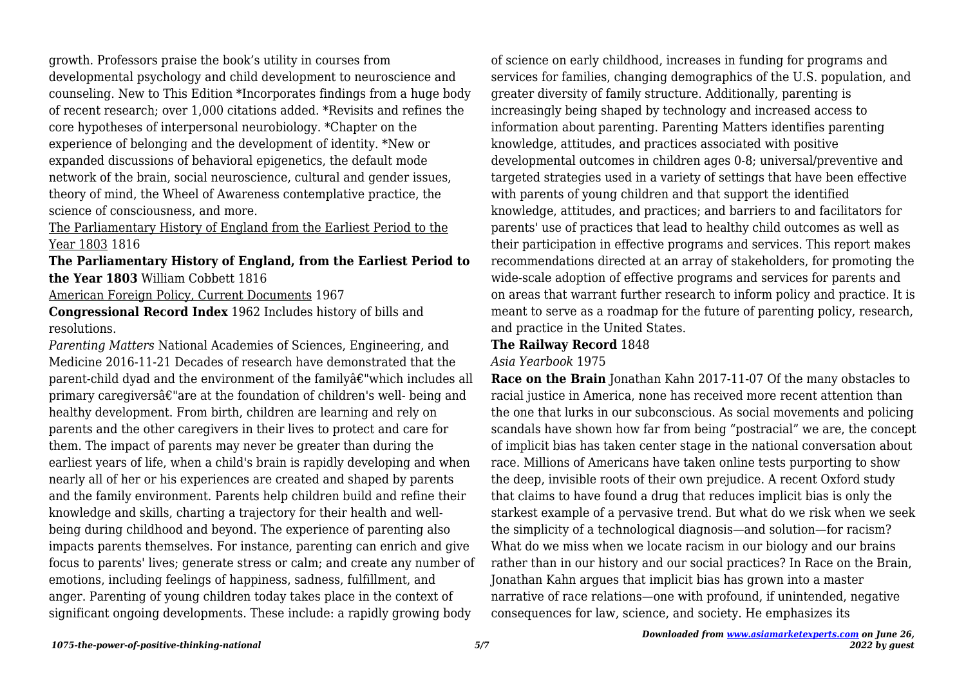growth. Professors praise the book's utility in courses from developmental psychology and child development to neuroscience and counseling. New to This Edition \*Incorporates findings from a huge body of recent research; over 1,000 citations added. \*Revisits and refines the core hypotheses of interpersonal neurobiology. \*Chapter on the experience of belonging and the development of identity. \*New or expanded discussions of behavioral epigenetics, the default mode network of the brain, social neuroscience, cultural and gender issues, theory of mind, the Wheel of Awareness contemplative practice, the science of consciousness, and more.

# The Parliamentary History of England from the Earliest Period to the Year 1803 1816

**The Parliamentary History of England, from the Earliest Period to the Year 1803** William Cobbett 1816

American Foreign Policy, Current Documents 1967

**Congressional Record Index** 1962 Includes history of bills and resolutions.

*Parenting Matters* National Academies of Sciences, Engineering, and Medicine 2016-11-21 Decades of research have demonstrated that the parent-child dyad and the environment of the familyâ€"which includes all primary caregiversâ€"are at the foundation of children's well- being and healthy development. From birth, children are learning and rely on parents and the other caregivers in their lives to protect and care for them. The impact of parents may never be greater than during the earliest years of life, when a child's brain is rapidly developing and when nearly all of her or his experiences are created and shaped by parents and the family environment. Parents help children build and refine their knowledge and skills, charting a trajectory for their health and wellbeing during childhood and beyond. The experience of parenting also impacts parents themselves. For instance, parenting can enrich and give focus to parents' lives; generate stress or calm; and create any number of emotions, including feelings of happiness, sadness, fulfillment, and anger. Parenting of young children today takes place in the context of significant ongoing developments. These include: a rapidly growing body

of science on early childhood, increases in funding for programs and services for families, changing demographics of the U.S. population, and greater diversity of family structure. Additionally, parenting is increasingly being shaped by technology and increased access to information about parenting. Parenting Matters identifies parenting knowledge, attitudes, and practices associated with positive developmental outcomes in children ages 0-8; universal/preventive and targeted strategies used in a variety of settings that have been effective with parents of young children and that support the identified knowledge, attitudes, and practices; and barriers to and facilitators for parents' use of practices that lead to healthy child outcomes as well as their participation in effective programs and services. This report makes recommendations directed at an array of stakeholders, for promoting the wide-scale adoption of effective programs and services for parents and on areas that warrant further research to inform policy and practice. It is meant to serve as a roadmap for the future of parenting policy, research, and practice in the United States.

# **The Railway Record** 1848

# *Asia Yearbook* 1975

**Race on the Brain** Jonathan Kahn 2017-11-07 Of the many obstacles to racial justice in America, none has received more recent attention than the one that lurks in our subconscious. As social movements and policing scandals have shown how far from being "postracial" we are, the concept of implicit bias has taken center stage in the national conversation about race. Millions of Americans have taken online tests purporting to show the deep, invisible roots of their own prejudice. A recent Oxford study that claims to have found a drug that reduces implicit bias is only the starkest example of a pervasive trend. But what do we risk when we seek the simplicity of a technological diagnosis—and solution—for racism? What do we miss when we locate racism in our biology and our brains rather than in our history and our social practices? In Race on the Brain, Jonathan Kahn argues that implicit bias has grown into a master narrative of race relations—one with profound, if unintended, negative consequences for law, science, and society. He emphasizes its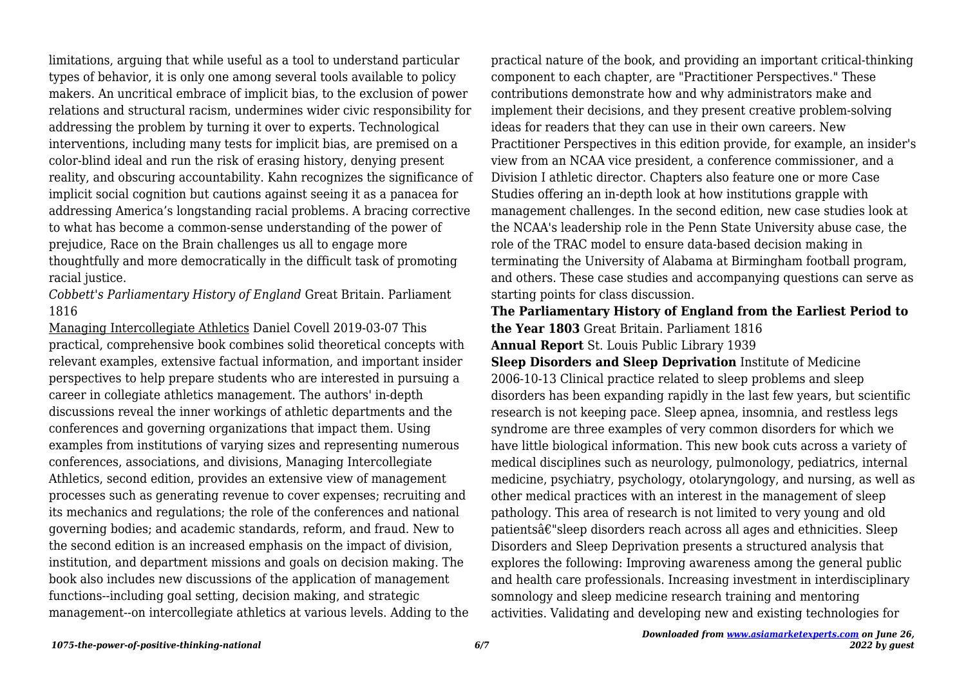limitations, arguing that while useful as a tool to understand particular types of behavior, it is only one among several tools available to policy makers. An uncritical embrace of implicit bias, to the exclusion of power relations and structural racism, undermines wider civic responsibility for addressing the problem by turning it over to experts. Technological interventions, including many tests for implicit bias, are premised on a color-blind ideal and run the risk of erasing history, denying present reality, and obscuring accountability. Kahn recognizes the significance of implicit social cognition but cautions against seeing it as a panacea for addressing America's longstanding racial problems. A bracing corrective to what has become a common-sense understanding of the power of prejudice, Race on the Brain challenges us all to engage more thoughtfully and more democratically in the difficult task of promoting racial justice.

*Cobbett's Parliamentary History of England* Great Britain. Parliament 1816

Managing Intercollegiate Athletics Daniel Covell 2019-03-07 This practical, comprehensive book combines solid theoretical concepts with relevant examples, extensive factual information, and important insider perspectives to help prepare students who are interested in pursuing a career in collegiate athletics management. The authors' in-depth discussions reveal the inner workings of athletic departments and the conferences and governing organizations that impact them. Using examples from institutions of varying sizes and representing numerous conferences, associations, and divisions, Managing Intercollegiate Athletics, second edition, provides an extensive view of management processes such as generating revenue to cover expenses; recruiting and its mechanics and regulations; the role of the conferences and national governing bodies; and academic standards, reform, and fraud. New to the second edition is an increased emphasis on the impact of division, institution, and department missions and goals on decision making. The book also includes new discussions of the application of management functions--including goal setting, decision making, and strategic management--on intercollegiate athletics at various levels. Adding to the practical nature of the book, and providing an important critical-thinking component to each chapter, are "Practitioner Perspectives." These contributions demonstrate how and why administrators make and implement their decisions, and they present creative problem-solving ideas for readers that they can use in their own careers. New Practitioner Perspectives in this edition provide, for example, an insider's view from an NCAA vice president, a conference commissioner, and a Division I athletic director. Chapters also feature one or more Case Studies offering an in-depth look at how institutions grapple with management challenges. In the second edition, new case studies look at the NCAA's leadership role in the Penn State University abuse case, the role of the TRAC model to ensure data-based decision making in terminating the University of Alabama at Birmingham football program, and others. These case studies and accompanying questions can serve as starting points for class discussion.

# **The Parliamentary History of England from the Earliest Period to the Year 1803** Great Britain. Parliament 1816 **Annual Report** St. Louis Public Library 1939

**Sleep Disorders and Sleep Deprivation** Institute of Medicine 2006-10-13 Clinical practice related to sleep problems and sleep disorders has been expanding rapidly in the last few years, but scientific research is not keeping pace. Sleep apnea, insomnia, and restless legs syndrome are three examples of very common disorders for which we have little biological information. This new book cuts across a variety of medical disciplines such as neurology, pulmonology, pediatrics, internal medicine, psychiatry, psychology, otolaryngology, and nursing, as well as other medical practices with an interest in the management of sleep pathology. This area of research is not limited to very young and old patientsâ€"sleep disorders reach across all ages and ethnicities. Sleep Disorders and Sleep Deprivation presents a structured analysis that explores the following: Improving awareness among the general public and health care professionals. Increasing investment in interdisciplinary somnology and sleep medicine research training and mentoring activities. Validating and developing new and existing technologies for